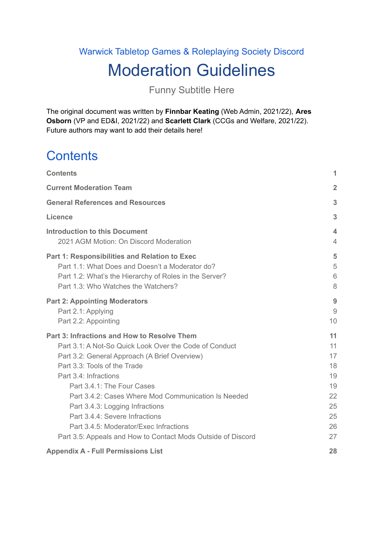# Warwick Tabletop Games & Roleplaying Society Discord Moderation Guidelines

Funny Subtitle Here

The original document was written by **Finnbar Keating** (Web Admin, 2021/22), **Ares Osborn** (VP and ED&I, 2021/22) and **Scarlett Clark** (CCGs and Welfare, 2021/22). Future authors may want to add their details here!

# <span id="page-0-0"></span>**Contents**

| <b>Contents</b>                                                                                                                                                                                                                                                                                                                                                                                                                                                                     | 1                                                              |
|-------------------------------------------------------------------------------------------------------------------------------------------------------------------------------------------------------------------------------------------------------------------------------------------------------------------------------------------------------------------------------------------------------------------------------------------------------------------------------------|----------------------------------------------------------------|
| <b>Current Moderation Team</b>                                                                                                                                                                                                                                                                                                                                                                                                                                                      | $\overline{2}$                                                 |
| <b>General References and Resources</b>                                                                                                                                                                                                                                                                                                                                                                                                                                             | 3                                                              |
| <b>Licence</b>                                                                                                                                                                                                                                                                                                                                                                                                                                                                      | 3                                                              |
| <b>Introduction to this Document</b><br>2021 AGM Motion: On Discord Moderation                                                                                                                                                                                                                                                                                                                                                                                                      | $\boldsymbol{\mathcal{A}}$<br>$\overline{4}$                   |
| <b>Part 1: Responsibilities and Relation to Exec</b><br>Part 1.1: What Does and Doesn't a Moderator do?<br>Part 1.2: What's the Hierarchy of Roles in the Server?<br>Part 1.3: Who Watches the Watchers?                                                                                                                                                                                                                                                                            | 5<br>5<br>6<br>8                                               |
| <b>Part 2: Appointing Moderators</b><br>Part 2.1: Applying<br>Part 2.2: Appointing                                                                                                                                                                                                                                                                                                                                                                                                  | 9<br>$\overline{9}$<br>10                                      |
| Part 3: Infractions and How to Resolve Them<br>Part 3.1: A Not-So Quick Look Over the Code of Conduct<br>Part 3.2: General Approach (A Brief Overview)<br>Part 3.3: Tools of the Trade<br>Part 3.4: Infractions<br>Part 3.4.1: The Four Cases<br>Part 3.4.2: Cases Where Mod Communication Is Needed<br>Part 3.4.3: Logging Infractions<br>Part 3.4.4: Severe Infractions<br>Part 3.4.5: Moderator/Exec Infractions<br>Part 3.5: Appeals and How to Contact Mods Outside of Discord | 11<br>11<br>17<br>18<br>19<br>19<br>22<br>25<br>25<br>26<br>27 |
| <b>Appendix A - Full Permissions List</b>                                                                                                                                                                                                                                                                                                                                                                                                                                           | 28                                                             |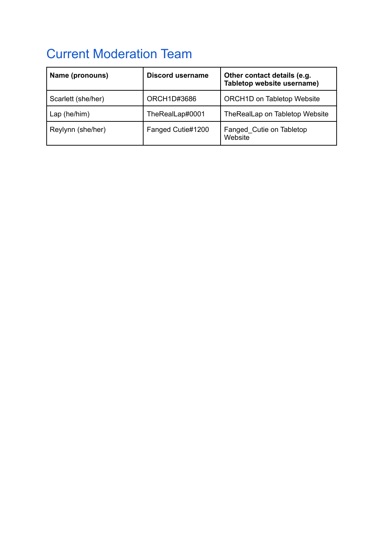# <span id="page-1-0"></span>Current Moderation Team

| Name (pronouns)    | <b>Discord username</b> | Other contact details (e.g.<br>Tabletop website username) |
|--------------------|-------------------------|-----------------------------------------------------------|
| Scarlett (she/her) | ORCH1D#3686             | <b>ORCH1D on Tabletop Website</b>                         |
| Lap (he/him)       | TheRealLap#0001         | TheRealLap on Tabletop Website                            |
| Reylynn (she/her)  | Fanged Cutie#1200       | Fanged Cutie on Tabletop<br>Website                       |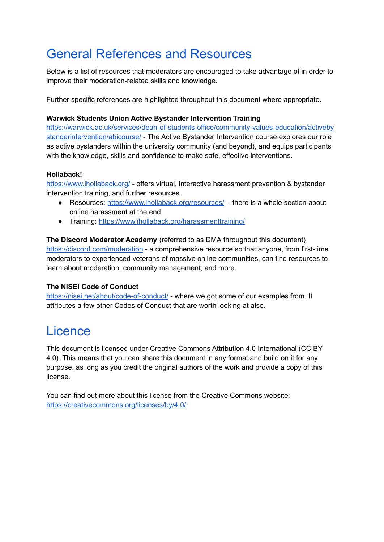# <span id="page-2-0"></span>General References and Resources

Below is a list of resources that moderators are encouraged to take advantage of in order to improve their moderation-related skills and knowledge.

Further specific references are highlighted throughout this document where appropriate.

#### **Warwick Students Union Active Bystander Intervention Training**

[https://warwick.ac.uk/services/dean-of-students-office/community-values-education/activeby](https://warwick.ac.uk/services/dean-of-students-office/community-values-education/activebystanderintervention/abicourse/) [standerintervention/abicourse/](https://warwick.ac.uk/services/dean-of-students-office/community-values-education/activebystanderintervention/abicourse/) - The Active Bystander Intervention course explores our role as active bystanders within the university community (and beyond), and equips participants with the knowledge, skills and confidence to make safe, effective interventions.

#### **Hollaback!**

<https://www.ihollaback.org/> - offers virtual, interactive harassment prevention & bystander intervention training, and further resources.

- Resources: <https://www.ihollaback.org/resources/> there is a whole section about online harassment at the end
- Training: <https://www.ihollaback.org/harassmenttraining/>

**The Discord Moderator Academy** (referred to as DMA throughout this document) <https://discord.com/moderation> - a comprehensive resource so that anyone, from first-time moderators to experienced veterans of massive online communities, can find resources to learn about moderation, community management, and more.

#### **The NISEI Code of Conduct**

<https://nisei.net/about/code-of-conduct/> - where we got some of our examples from. It attributes a few other Codes of Conduct that are worth looking at also.

## <span id="page-2-1"></span>Licence

This document is licensed under Creative Commons Attribution 4.0 International (CC BY 4.0). This means that you can share this document in any format and build on it for any purpose, as long as you credit the original authors of the work and provide a copy of this license.

You can find out more about this license from the Creative Commons website: [https://creativecommons.org/licenses/by/4.0/.](https://creativecommons.org/licenses/by/4.0/)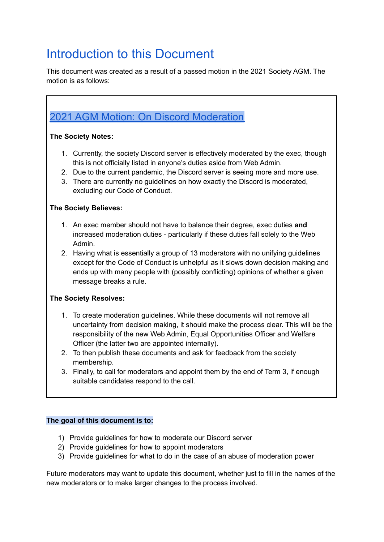## <span id="page-3-0"></span>Introduction to this Document

This document was created as a result of a passed motion in the 2021 Society AGM. The motion is as follows:

## <span id="page-3-1"></span>2021 AGM Motion: On Discord [Moderation](https://www.warwicktabletop.co.uk/forum/thread/302/#response-497)

#### **The Society Notes:**

- 1. Currently, the society Discord server is effectively moderated by the exec, though this is not officially listed in anyone's duties aside from Web Admin.
- 2. Due to the current pandemic, the Discord server is seeing more and more use.
- 3. There are currently no guidelines on how exactly the Discord is moderated, excluding our Code of Conduct.

#### **The Society Believes:**

- 1. An exec member should not have to balance their degree, exec duties **and** increased moderation duties - particularly if these duties fall solely to the Web Admin.
- 2. Having what is essentially a group of 13 moderators with no unifying guidelines except for the Code of Conduct is unhelpful as it slows down decision making and ends up with many people with (possibly conflicting) opinions of whether a given message breaks a rule.

### **The Society Resolves:**

- 1. To create moderation guidelines. While these documents will not remove all uncertainty from decision making, it should make the process clear. This will be the responsibility of the new Web Admin, Equal Opportunities Officer and Welfare Officer (the latter two are appointed internally).
- 2. To then publish these documents and ask for feedback from the society membership.
- 3. Finally, to call for moderators and appoint them by the end of Term 3, if enough suitable candidates respond to the call.

### **The goal of this document is to:**

- 1) Provide guidelines for how to moderate our Discord server
- 2) Provide guidelines for how to appoint moderators
- 3) Provide guidelines for what to do in the case of an abuse of moderation power

Future moderators may want to update this document, whether just to fill in the names of the new moderators or to make larger changes to the process involved.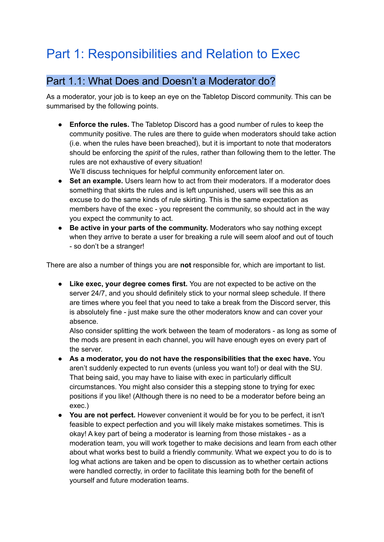# <span id="page-4-0"></span>Part 1: Responsibilities and Relation to Exec

## <span id="page-4-1"></span>Part 1.1: What Does and Doesn't a Moderator do?

As a moderator, your job is to keep an eye on the Tabletop Discord community. This can be summarised by the following points.

**● Enforce the rules.** The Tabletop Discord has a good number of rules to keep the community positive. The rules are there to guide when moderators should take action (i.e. when the rules have been breached), but it is important to note that moderators should be enforcing the *spirit* of the rules, rather than following them to the letter. The rules are not exhaustive of every situation!

We'll discuss techniques for helpful community enforcement later on.

- **Set an example.** Users learn how to act from their moderators. If a moderator does something that skirts the rules and is left unpunished, users will see this as an excuse to do the same kinds of rule skirting. This is the same expectation as members have of the exec - you represent the community, so should act in the way you expect the community to act.
- **Be active in your parts of the community.** Moderators who say nothing except when they arrive to berate a user for breaking a rule will seem aloof and out of touch - so don't be a stranger!

There are also a number of things you are **not** responsible for, which are important to list.

● **Like exec, your degree comes first.** You are not expected to be active on the server 24/7, and you should definitely stick to your normal sleep schedule. If there are times where you feel that you need to take a break from the Discord server, this is absolutely fine - just make sure the other moderators know and can cover your absence.

Also consider splitting the work between the team of moderators - as long as some of the mods are present in each channel, you will have enough eyes on every part of the server.

- **As a moderator, you do not have the responsibilities that the exec have.** You aren't suddenly expected to run events (unless you want to!) or deal with the SU. That being said, you may have to liaise with exec in particularly difficult circumstances. You might also consider this a stepping stone to trying for exec positions if you like! (Although there is no need to be a moderator before being an exec.)
- **You are not perfect.** However convenient it would be for you to be perfect, it isn't feasible to expect perfection and you will likely make mistakes sometimes. This is okay! A key part of being a moderator is learning from those mistakes - as a moderation team, you will work together to make decisions and learn from each other about what works best to build a friendly community. What we expect you to do is to log what actions are taken and be open to discussion as to whether certain actions were handled correctly, in order to facilitate this learning both for the benefit of yourself and future moderation teams.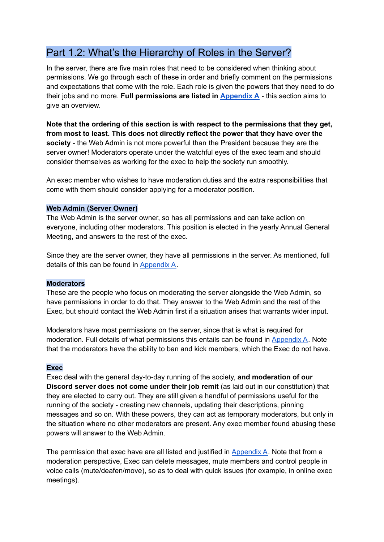## <span id="page-5-0"></span>Part 1.2: What's the Hierarchy of Roles in the Server?

In the server, there are five main roles that need to be considered when thinking about permissions. We go through each of these in order and briefly comment on the permissions and expectations that come with the role. Each role is given the powers that they need to do their jobs and no more. **Full permissions are listed in [Appendix](#page-27-0) A** - this section aims to give an overview.

**Note that the ordering of this section is with respect to the permissions that they get, from most to least. This does not directly reflect the power that they have over the society** - the Web Admin is not more powerful than the President because they are the server owner! Moderators operate under the watchful eyes of the exec team and should consider themselves as working for the exec to help the society run smoothly.

An exec member who wishes to have moderation duties and the extra responsibilities that come with them should consider applying for a moderator position.

#### **Web Admin (Server Owner)**

The Web Admin is the server owner, so has all permissions and can take action on everyone, including other moderators. This position is elected in the yearly Annual General Meeting, and answers to the rest of the exec.

Since they are the server owner, they have all permissions in the server. As mentioned, full details of this can be found in [Appendix](#page-27-0) A.

#### **Moderators**

These are the people who focus on moderating the server alongside the Web Admin, so have permissions in order to do that. They answer to the Web Admin and the rest of the Exec, but should contact the Web Admin first if a situation arises that warrants wider input.

Moderators have most permissions on the server, since that is what is required for moderation. Full details of what permissions this entails can be found in [Appendix](#page-27-0) A. Note that the moderators have the ability to ban and kick members, which the Exec do not have.

#### **Exec**

Exec deal with the general day-to-day running of the society, **and moderation of our Discord server does not come under their job remit** (as laid out in our constitution) that they are elected to carry out. They are still given a handful of permissions useful for the running of the society - creating new channels, updating their descriptions, pinning messages and so on. With these powers, they can act as temporary moderators, but only in the situation where no other moderators are present. Any exec member found abusing these powers will answer to the Web Admin.

The permission that exec have are all listed and justified in [Appendix](#page-27-0) A. Note that from a moderation perspective, Exec can delete messages, mute members and control people in voice calls (mute/deafen/move), so as to deal with quick issues (for example, in online exec meetings).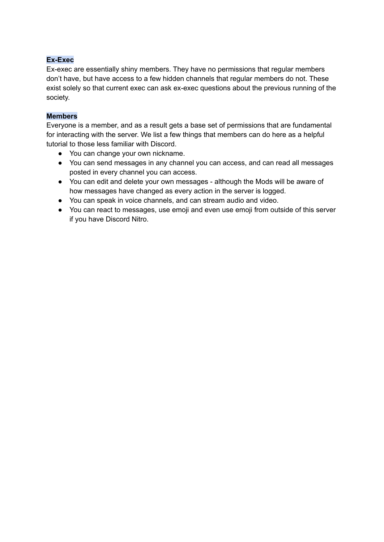#### **Ex-Exec**

Ex-exec are essentially shiny members. They have no permissions that regular members don't have, but have access to a few hidden channels that regular members do not. These exist solely so that current exec can ask ex-exec questions about the previous running of the society.

#### **Members**

Everyone is a member, and as a result gets a base set of permissions that are fundamental for interacting with the server. We list a few things that members can do here as a helpful tutorial to those less familiar with Discord.

- You can change your own nickname.
- You can send messages in any channel you can access, and can read all messages posted in every channel you can access.
- You can edit and delete your own messages although the Mods will be aware of how messages have changed as every action in the server is logged.
- You can speak in voice channels, and can stream audio and video.
- You can react to messages, use emoji and even use emoji from outside of this server if you have Discord Nitro.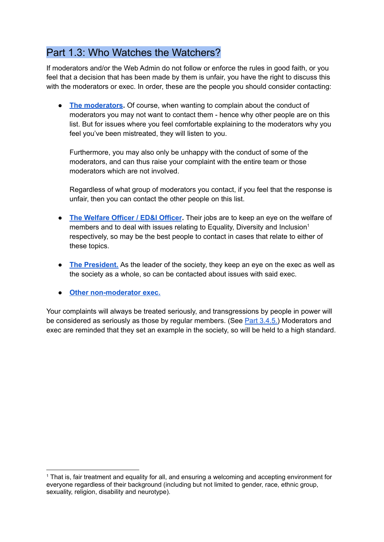## <span id="page-7-0"></span>Part 1.3: Who Watches the Watchers?

If moderators and/or the Web Admin do not follow or enforce the rules in good faith, or you feel that a decision that has been made by them is unfair, you have the right to discuss this with the moderators or exec. In order, these are the people you should consider contacting:

● **The [moderators](#page-1-0).** Of course, when wanting to complain about the conduct of moderators you may not want to contact them - hence why other people are on this list. But for issues where you feel comfortable explaining to the moderators why you feel you've been mistreated, they will listen to you.

Furthermore, you may also only be unhappy with the conduct of some of the moderators, and can thus raise your complaint with the entire team or those moderators which are not involved.

Regardless of what group of moderators you contact, if you feel that the response is unfair, then you can contact the other people on this list.

- **The [Welfare](https://www.warwicktabletop.co.uk/exec/) Officer / ED&I Officer.** Their jobs are to keep an eye on the welfare of members and to deal with issues relating to Equality, Diversity and Inclusion<sup>1</sup> respectively, so may be the best people to contact in cases that relate to either of these topics.
- **The [President.](https://www.warwicktabletop.co.uk/exec/)** As the leader of the society, they keep an eye on the exec as well as the society as a whole, so can be contacted about issues with said exec.
- **● Other [non-moderator](https://www.warwicktabletop.co.uk/exec/) exec.**

Your complaints will always be treated seriously, and transgressions by people in power will be considered as seriously as those by regular members. (See Part [3.4.5.\)](#page-25-0) Moderators and exec are reminded that they set an example in the society, so will be held to a high standard.

<sup>&</sup>lt;sup>1</sup> That is, fair treatment and equality for all, and ensuring a welcoming and accepting environment for everyone regardless of their background (including but not limited to gender, race, ethnic group, sexuality, religion, disability and neurotype).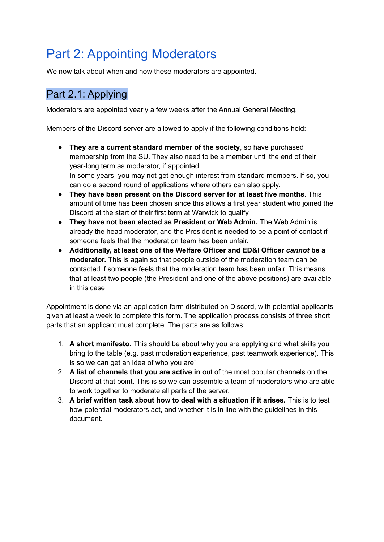# <span id="page-8-0"></span>Part 2: Appointing Moderators

<span id="page-8-1"></span>We now talk about when and how these moderators are appointed.

## Part 2.1: Applying

Moderators are appointed yearly a few weeks after the Annual General Meeting.

Members of the Discord server are allowed to apply if the following conditions hold:

- **They are a current standard member of the society**, so have purchased membership from the SU. They also need to be a member until the end of their year-long term as moderator, if appointed. In some years, you may not get enough interest from standard members. If so, you can do a second round of applications where others can also apply.
- **They have been present on the Discord server for at least five months**. This amount of time has been chosen since this allows a first year student who joined the Discord at the start of their first term at Warwick to qualify.
- **They have not been elected as President or Web Admin.** The Web Admin is already the head moderator, and the President is needed to be a point of contact if someone feels that the moderation team has been unfair.
- **Additionally, at least one of the Welfare Officer and ED&I Officer** *cannot* **be a moderator.** This is again so that people outside of the moderation team can be contacted if someone feels that the moderation team has been unfair. This means that at least two people (the President and one of the above positions) are available in this case.

Appointment is done via an application form distributed on Discord, with potential applicants given at least a week to complete this form. The application process consists of three short parts that an applicant must complete. The parts are as follows:

- 1. **A short manifesto.** This should be about why you are applying and what skills you bring to the table (e.g. past moderation experience, past teamwork experience). This is so we can get an idea of who you are!
- 2. **A list of channels that you are active in** out of the most popular channels on the Discord at that point. This is so we can assemble a team of moderators who are able to work together to moderate all parts of the server.
- 3. **A brief written task about how to deal with a situation if it arises.** This is to test how potential moderators act, and whether it is in line with the guidelines in this document.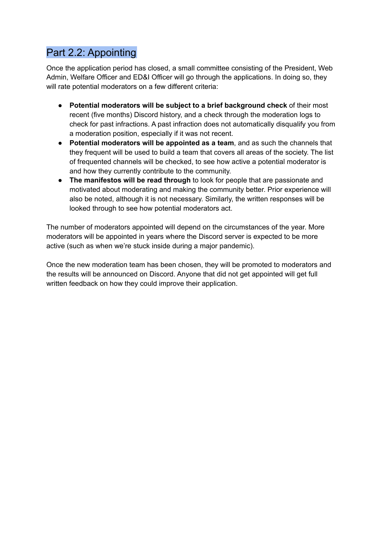## <span id="page-9-0"></span>Part 2.2: Appointing

Once the application period has closed, a small committee consisting of the President, Web Admin, Welfare Officer and ED&I Officer will go through the applications. In doing so, they will rate potential moderators on a few different criteria:

- **Potential moderators will be subject to a brief background check** of their most recent (five months) Discord history, and a check through the moderation logs to check for past infractions. A past infraction does not automatically disqualify you from a moderation position, especially if it was not recent.
- **Potential moderators will be appointed as a team**, and as such the channels that they frequent will be used to build a team that covers all areas of the society. The list of frequented channels will be checked, to see how active a potential moderator is and how they currently contribute to the community.
- **The manifestos will be read through** to look for people that are passionate and motivated about moderating and making the community better. Prior experience will also be noted, although it is not necessary. Similarly, the written responses will be looked through to see how potential moderators act.

The number of moderators appointed will depend on the circumstances of the year. More moderators will be appointed in years where the Discord server is expected to be more active (such as when we're stuck inside during a major pandemic).

Once the new moderation team has been chosen, they will be promoted to moderators and the results will be announced on Discord. Anyone that did not get appointed will get full written feedback on how they could improve their application.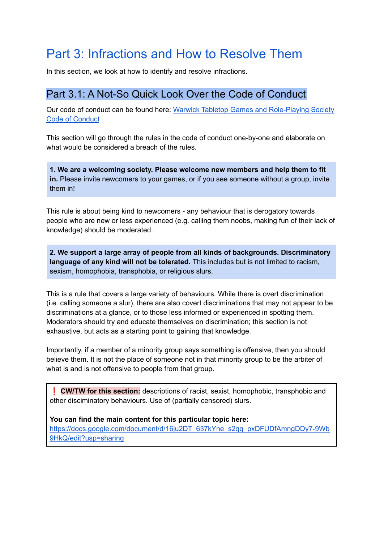# <span id="page-10-0"></span>Part 3: Infractions and How to Resolve Them

<span id="page-10-1"></span>In this section, we look at how to identify and resolve infractions.

### Part 3.1: A Not-So Quick Look Over the Code of Conduct

Our code of conduct can be found here: Warwick Tabletop Games and [Role-Playing](https://www.warwicktabletop.co.uk/page/codeofconduct/) Society Code of [Conduct](https://www.warwicktabletop.co.uk/page/codeofconduct/)

This section will go through the rules in the code of conduct one-by-one and elaborate on what would be considered a breach of the rules.

**1. We are a welcoming society. Please welcome new members and help them to fit in.** Please invite newcomers to your games, or if you see someone without a group, invite them in!

This rule is about being kind to newcomers - any behaviour that is derogatory towards people who are new or less experienced (e.g. calling them noobs, making fun of their lack of knowledge) should be moderated.

**2. We support a large array of people from all kinds of backgrounds. Discriminatory language of any kind will not be tolerated.** This includes but is not limited to racism, sexism, homophobia, transphobia, or religious slurs.

This is a rule that covers a large variety of behaviours. While there is overt discrimination (i.e. calling someone a slur), there are also covert discriminations that may not appear to be discriminations at a glance, or to those less informed or experienced in spotting them. Moderators should try and educate themselves on discrimination; this section is not exhaustive, but acts as a starting point to gaining that knowledge.

Importantly, if a member of a minority group says something is offensive, then you should believe them. It is not the place of someone not in that minority group to be the arbiter of what is and is not offensive to people from that group.

❗ **CW/TW for this section:** descriptions of racist, sexist, homophobic, transphobic and other disciminatory behaviours. Use of (partially censored) slurs.

**You can find the main content for this particular topic here:** [https://docs.google.com/document/d/16ju2DT\\_637kYne\\_s2qq\\_pxDFUDfAmngDDy7-9Wb](https://docs.google.com/document/d/16ju2DT_637kYne_s2qq_pxDFUDfAmngDDy7-9Wb9HkQ/edit?usp=sharing) [9HkQ/edit?usp=sharing](https://docs.google.com/document/d/16ju2DT_637kYne_s2qq_pxDFUDfAmngDDy7-9Wb9HkQ/edit?usp=sharing)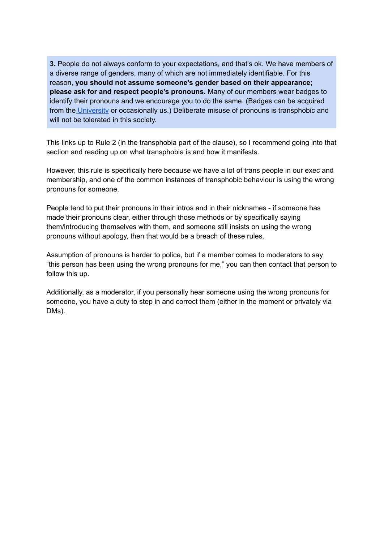**3.** People do not always conform to your expectations, and that's ok. We have members of a diverse range of genders, many of which are not immediately identifiable. For this reason, **you should not assume someone's gender based on their appearance; please ask for and respect people's pronouns.** Many of our members wear badges to identify their pronouns and we encourage you to do the same. (Badges can be acquired from the [University](https://warwick.ac.uk/services/equalops/initiatives/lgbtua/getpronounsright/pronounbadge) or occasionally us.) Deliberate misuse of pronouns is transphobic and will not be tolerated in this society.

This links up to Rule 2 (in the transphobia part of the clause), so I recommend going into that section and reading up on what transphobia is and how it manifests.

However, this rule is specifically here because we have a lot of trans people in our exec and membership, and one of the common instances of transphobic behaviour is using the wrong pronouns for someone.

People tend to put their pronouns in their intros and in their nicknames - if someone has made their pronouns clear, either through those methods or by specifically saying them/introducing themselves with them, and someone still insists on using the wrong pronouns without apology, then that would be a breach of these rules.

Assumption of pronouns is harder to police, but if a member comes to moderators to say "this person has been using the wrong pronouns for me," you can then contact that person to follow this up.

Additionally, as a moderator, if you personally hear someone using the wrong pronouns for someone, you have a duty to step in and correct them (either in the moment or privately via DMs).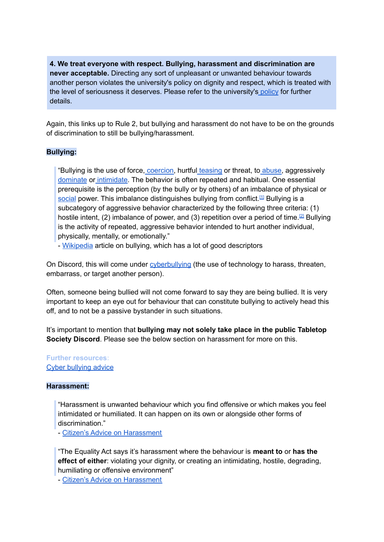**4. We treat everyone with respect. Bullying, harassment and discrimination are never acceptable.** Directing any sort of unpleasant or unwanted behaviour towards another person violates the university's policy on dignity and respect, which is treated with the level of seriousness it deserves. Please refer to the university's [policy](https://warwick.ac.uk/services/equalops/dignityatwarwick/dignity_at_warwick_may_2019.pdf) for further details.

Again, this links up to Rule 2, but bullying and harassment do not have to be on the grounds of discrimination to still be bullying/harassment.

#### **Bullying:**

"Bullying is the use of force, [coercion,](https://en.wikipedia.org/wiki/Coercion) hurtful [teasing](https://en.wikipedia.org/wiki/Teasing) or threat, to [abuse](https://en.wikipedia.org/wiki/Abuse), aggressivel[y](https://en.wiktionary.org/wiki/domination) [dominate](https://en.wiktionary.org/wiki/domination) or [intimidate](https://en.wikipedia.org/wiki/Intimidate). The behavior is often repeated and habitual. One essential prerequisite is the perception (by the bully or by others) of an imbalance of physical or [social](https://en.wikipedia.org/wiki/Power_(social_and_political)) power. This imbalance distinguishes bullying from conflict.<sup>[\[1\]](https://en.wikipedia.org/wiki/Bullying#cite_note-1)</sup> Bullying is a subcategory of aggressive behavior characterized by the following three criteria: (1) hostile intent, (2) imbalance of power, and (3) repetition over a period of time.<sup>[\[2\]](https://en.wikipedia.org/wiki/Bullying#cite_note-2)</sup> Bullying is the activity of repeated, aggressive behavior intended to hurt another individual, physically, mentally, or emotionally."

- [Wikipedia](https://en.wikipedia.org/wiki/Bullying) article on bullying, which has a lot of good descriptors

On Discord, this will come under *[cyberbullying](https://en.wikipedia.org/wiki/Bullying#Cyberbullying)* (the use of technology to harass, threaten, embarrass, or target another person).

Often, someone being bullied will not come forward to say they are being bullied. It is very important to keep an eye out for behaviour that can constitute bullying to actively head this off, and to not be a passive bystander in such situations.

It's important to mention that **bullying may not solely take place in the public Tabletop Society Discord**. Please see the below section on harassment for more on this.

**Further resources:** Cyber [bullying](https://www.bullying.co.uk/cyberbullying/what-is-cyberbullying/) advice

#### **Harassment:**

"Harassment is unwanted behaviour which you find offensive or which makes you feel intimidated or humiliated. It can happen on its own or alongside other forms of discrimination."

- Citizen's Advice on [Harassment](https://www.citizensadvice.org.uk/law-and-courts/discrimination/what-are-the-different-types-of-discrimination/harassment/)

"The Equality Act says it's harassment where the behaviour is **meant to** or **has the effect of either**: violating your dignity, or creating an intimidating, hostile, degrading, humiliating or offensive environment"

- Citizen's Advice on [Harassment](https://www.citizensadvice.org.uk/law-and-courts/discrimination/what-are-the-different-types-of-discrimination/harassment/)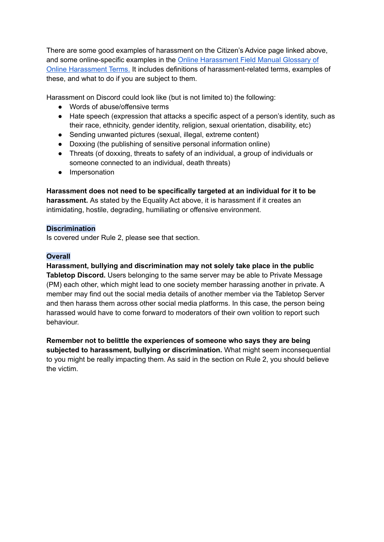There are some good examples of harassment on the Citizen's Advice page linked above, and some online-specific examples in the Online [Harassment](https://onlineharassmentfieldmanual.pen.org/defining-online-harassment-a-glossary-of-terms/) Field Manual Glossary of Online [Harassment](https://onlineharassmentfieldmanual.pen.org/defining-online-harassment-a-glossary-of-terms/) Terms. It includes definitions of harassment-related terms, examples of these, and what to do if you are subject to them.

Harassment on Discord could look like (but is not limited to) the following:

- Words of abuse/offensive terms
- Hate speech (expression that attacks a specific aspect of a person's identity, such as their race, ethnicity, gender identity, religion, sexual orientation, disability, etc)
- Sending unwanted pictures (sexual, illegal, extreme content)
- Doxxing (the publishing of sensitive personal information online)
- Threats (of doxxing, threats to safety of an individual, a group of individuals or someone connected to an individual, death threats)
- Impersonation

**Harassment does not need to be specifically targeted at an individual for it to be harassment.** As stated by the Equality Act above, it is harassment if it creates an intimidating, hostile, degrading, humiliating or offensive environment.

#### **Discrimination**

Is covered under Rule 2, please see that section.

#### **Overall**

**Harassment, bullying and discrimination may not solely take place in the public Tabletop Discord.** Users belonging to the same server may be able to Private Message (PM) each other, which might lead to one society member harassing another in private. A member may find out the social media details of another member via the Tabletop Server and then harass them across other social media platforms. In this case, the person being harassed would have to come forward to moderators of their own volition to report such behaviour.

**Remember not to belittle the experiences of someone who says they are being subjected to harassment, bullying or discrimination.** What might seem inconsequential to you might be really impacting them. As said in the section on Rule 2, you should believe the victim.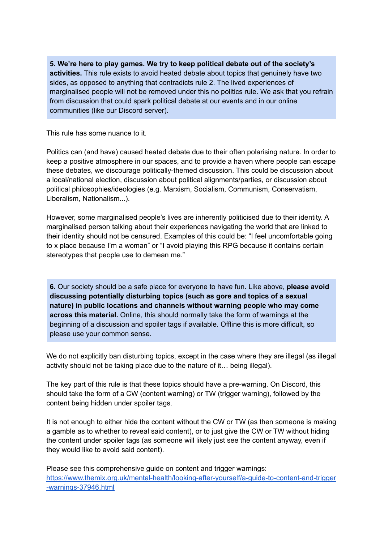**5. We're here to play games. We try to keep political debate out of the society's activities.** This rule exists to avoid heated debate about topics that genuinely have two sides, as opposed to anything that contradicts rule 2. The lived experiences of marginalised people will not be removed under this no politics rule. We ask that you refrain from discussion that could spark political debate at our events and in our online communities (like our Discord server).

This rule has some nuance to it.

Politics can (and have) caused heated debate due to their often polarising nature. In order to keep a positive atmosphere in our spaces, and to provide a haven where people can escape these debates, we discourage politically-themed discussion. This could be discussion about a local/national election, discussion about political alignments/parties, or discussion about political philosophies/ideologies (e.g. Marxism, Socialism, Communism, Conservatism, Liberalism, Nationalism...).

However, some marginalised people's lives are inherently politicised due to their identity. A marginalised person talking about their experiences navigating the world that are linked to their identity should not be censured. Examples of this could be: "I feel uncomfortable going to x place because I'm a woman" or "I avoid playing this RPG because it contains certain stereotypes that people use to demean me."

**6.** Our society should be a safe place for everyone to have fun. Like above, **please avoid discussing potentially disturbing topics (such as gore and topics of a sexual nature) in public locations and channels without warning people who may come across this material.** Online, this should normally take the form of warnings at the beginning of a discussion and spoiler tags if available. Offline this is more difficult, so please use your common sense.

We do not explicitly ban disturbing topics, except in the case where they are illegal (as illegal activity should not be taking place due to the nature of it… being illegal).

The key part of this rule is that these topics should have a pre-warning. On Discord, this should take the form of a CW (content warning) or TW (trigger warning), followed by the content being hidden under spoiler tags.

It is not enough to either hide the content without the CW or TW (as then someone is making a gamble as to whether to reveal said content), or to just give the CW or TW without hiding the content under spoiler tags (as someone will likely just see the content anyway, even if they would like to avoid said content).

Please see this comprehensive guide on content and trigger warnings: [https://www.themix.org.uk/mental-health/looking-after-yourself/a-guide-to-content-and-trigger](https://www.themix.org.uk/mental-health/looking-after-yourself/a-guide-to-content-and-trigger-warnings-37946.html) [-warnings-37946.html](https://www.themix.org.uk/mental-health/looking-after-yourself/a-guide-to-content-and-trigger-warnings-37946.html)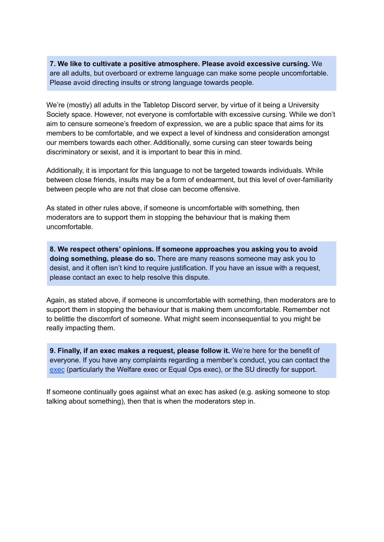**7. We like to cultivate a positive atmosphere. Please avoid excessive cursing.** We are all adults, but overboard or extreme language can make some people uncomfortable. Please avoid directing insults or strong language towards people.

We're (mostly) all adults in the Tabletop Discord server, by virtue of it being a University Society space. However, not everyone is comfortable with excessive cursing. While we don't aim to censure someone's freedom of expression, we are a public space that aims for its members to be comfortable, and we expect a level of kindness and consideration amongst our members towards each other. Additionally, some cursing can steer towards being discriminatory or sexist, and it is important to bear this in mind.

Additionally, it is important for this language to not be targeted towards individuals. While between close friends, insults may be a form of endearment, but this level of over-familiarity between people who are not that close can become offensive.

As stated in other rules above, if someone is uncomfortable with something, then moderators are to support them in stopping the behaviour that is making them uncomfortable.

**8. We respect others' opinions. If someone approaches you asking you to avoid doing something, please do so.** There are many reasons someone may ask you to desist, and it often isn't kind to require justification. If you have an issue with a request, please contact an exec to help resolve this dispute.

Again, as stated above, if someone is uncomfortable with something, then moderators are to support them in stopping the behaviour that is making them uncomfortable. Remember not to belittle the discomfort of someone. What might seem inconsequential to you might be really impacting them.

**9. Finally, if an exec makes a request, please follow it.** We're here for the benefit of everyone. If you have any complaints regarding a member's conduct, you can contact the [exec](https://www.warwicktabletop.co.uk/exec/) (particularly the Welfare exec or Equal Ops exec), or the SU directly for support.

If someone continually goes against what an exec has asked (e.g. asking someone to stop talking about something), then that is when the moderators step in.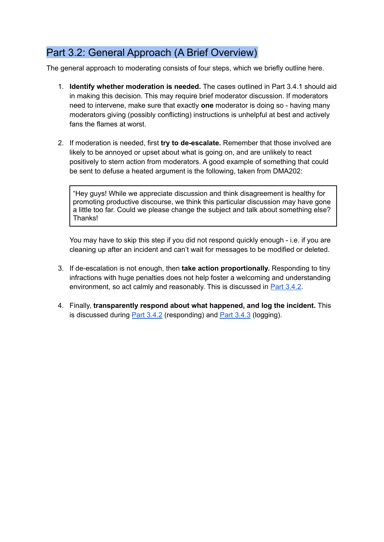## <span id="page-16-0"></span>Part 3.2: General Approach (A Brief Overview)

The general approach to moderating consists of four steps, which we briefly outline here.

- 1. **Identify whether moderation is needed.** The cases outlined in Part 3.4.1 should aid in making this decision. This may require brief moderator discussion. If moderators need to intervene, make sure that exactly **one** moderator is doing so - having many moderators giving (possibly conflicting) instructions is unhelpful at best and actively fans the flames at worst.
- 2. If moderation is needed, first **try to de-escalate.** Remember that those involved are likely to be annoyed or upset about what is going on, and are unlikely to react positively to stern action from moderators. A good example of something that could be sent to defuse a heated argument is the following, taken from DMA202:

"Hey guys! While we appreciate discussion and think disagreement is healthy for promoting productive discourse, we think this particular discussion may have gone a little too far. Could we please change the subject and talk about something else? Thanks!

You may have to skip this step if you did not respond quickly enough - i.e. if you are cleaning up after an incident and can't wait for messages to be modified or deleted.

- 3. If de-escalation is not enough, then **take action proportionally.** Responding to tiny infractions with huge penalties does not help foster a welcoming and understanding environment, so act calmly and reasonably. This is discussed in **Part 3.4.2**.
- 4. Finally, **transparently respond about what happened, and log the incident.** This is discussed during Part [3.4.2](#page-21-0) (responding) and Part [3.4.3](#page-24-0) (logging).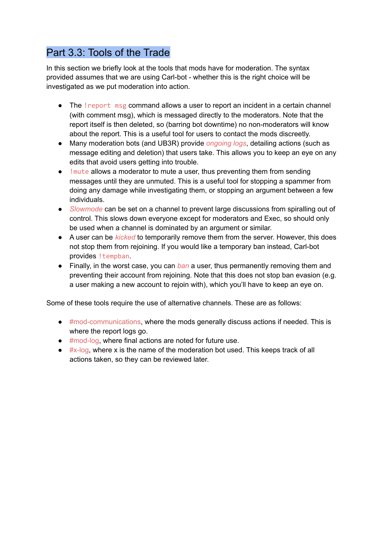## <span id="page-17-0"></span>Part 3.3: Tools of the Trade

In this section we briefly look at the tools that mods have for moderation. The syntax provided assumes that we are using Carl-bot - whether this is the right choice will be investigated as we put moderation into action.

- The ! report msg command allows a user to report an incident in a certain channel (with comment msg), which is messaged directly to the moderators. Note that the report itself is then deleted, so (barring bot downtime) no non-moderators will know about the report. This is a useful tool for users to contact the mods discreetly.
- Many moderation bots (and UB3R) provide *ongoing logs*, detailing actions (such as message editing and deletion) that users take. This allows you to keep an eye on any edits that avoid users getting into trouble.
- ! mute allows a moderator to mute a user, thus preventing them from sending messages until they are unmuted. This is a useful tool for stopping a spammer from doing any damage while investigating them, or stopping an argument between a few individuals.
- *Slowmode* can be set on a channel to prevent large discussions from spiralling out of control. This slows down everyone except for moderators and Exec, so should only be used when a channel is dominated by an argument or similar.
- A user can be *kicked* to temporarily remove them from the server. However, this does not stop them from rejoining. If you would like a temporary ban instead, Carl-bot provides ! tempban.
- Finally, in the worst case, you can *ban* a user, thus permanently removing them and preventing their account from rejoining. Note that this does not stop ban evasion (e.g. a user making a new account to rejoin with), which you'll have to keep an eye on.

Some of these tools require the use of alternative channels. These are as follows:

- #mod-communications, where the mods generally discuss actions if needed. This is where the report logs go.
- #mod-log, where final actions are noted for future use.
- $\bullet$  #x-log, where x is the name of the moderation bot used. This keeps track of all actions taken, so they can be reviewed later.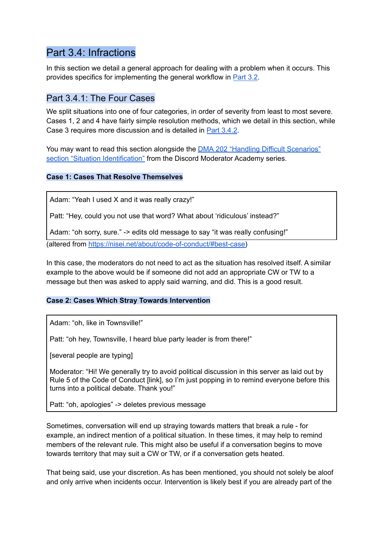### <span id="page-18-0"></span>Part 3.4: Infractions

In this section we detail a general approach for dealing with a problem when it occurs. This provides specifics for implementing the general workflow in [Part](#page-16-0) 3.2.

### <span id="page-18-1"></span>Part 3.4.1: The Four Cases

We split situations into one of four categories, in order of severity from least to most severe. Cases 1, 2 and 4 have fairly simple resolution methods, which we detail in this section, while Case 3 requires more discussion and is detailed in Part [3.4.2](#page-21-0).

You may want to read this section alongside the DMA 202 "Handling Difficult [Scenarios"](https://discord.com/moderation/360060483713-202:-Handling-Difficult-Scenarios) section "Situation [Identification"](https://discord.com/moderation/360060483713-202:-Handling-Difficult-Scenarios) from the Discord Moderator Academy series.

#### **Case 1: Cases That Resolve Themselves**

Adam: "Yeah I used X and it was really crazy!"

Patt: "Hey, could you not use that word? What about 'ridiculous' instead?"

Adam: "oh sorry, sure." -> edits old message to say "it was really confusing!"

(altered from [https://nisei.net/about/code-of-conduct/#best-case\)](https://nisei.net/about/code-of-conduct/#best-case)

In this case, the moderators do not need to act as the situation has resolved itself. A similar example to the above would be if someone did not add an appropriate CW or TW to a message but then was asked to apply said warning, and did. This is a good result.

#### **Case 2: Cases Which Stray Towards Intervention**

Adam: "oh, like in Townsville!"

Patt: "oh hey, Townsville, I heard blue party leader is from there!"

[several people are typing]

Moderator: "Hi! We generally try to avoid political discussion in this server as laid out by Rule 5 of the Code of Conduct [link], so I'm just popping in to remind everyone before this turns into a political debate. Thank you!"

Patt: "oh, apologies" -> deletes previous message

Sometimes, conversation will end up straying towards matters that break a rule - for example, an indirect mention of a political situation. In these times, it may help to remind members of the relevant rule. This might also be useful if a conversation begins to move towards territory that may suit a CW or TW, or if a conversation gets heated.

That being said, use your discretion. As has been mentioned, you should not solely be aloof and only arrive when incidents occur. Intervention is likely best if you are already part of the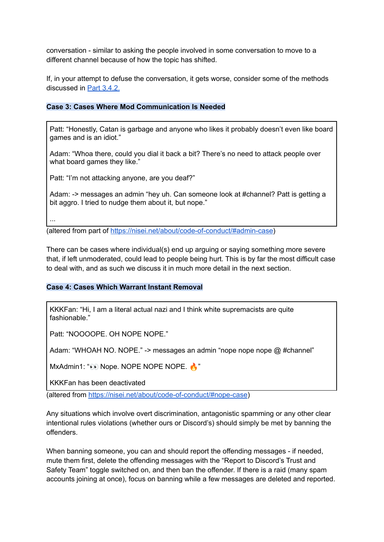conversation - similar to asking the people involved in some conversation to move to a different channel because of how the topic has shifted.

If, in your attempt to defuse the conversation, it gets worse, consider some of the methods discussed in Part [3.4.2.](#page-21-0)

#### **Case 3: Cases Where Mod Communication Is Needed**

Patt: "Honestly, Catan is garbage and anyone who likes it probably doesn't even like board games and is an idiot."

Adam: "Whoa there, could you dial it back a bit? There's no need to attack people over what board games they like."

Patt: "I'm not attacking anyone, are you deaf?"

Adam: -> messages an admin "hey uh. Can someone look at #channel? Patt is getting a bit aggro. I tried to nudge them about it, but nope."

...

(altered from part of [https://nisei.net/about/code-of-conduct/#admin-case\)](https://nisei.net/about/code-of-conduct/#admin-case)

There can be cases where individual(s) end up arguing or saying something more severe that, if left unmoderated, could lead to people being hurt. This is by far the most difficult case to deal with, and as such we discuss it in much more detail in the next section.

#### **Case 4: Cases Which Warrant Instant Removal**

KKKFan: "Hi, I am a literal actual nazi and I think white supremacists are quite fashionable."

Patt: "NOOOOPE. OH NOPE NOPE."

Adam: "WHOAH NO. NOPE." -> messages an admin "nope nope nope @ #channel"

MxAdmin1: " $\odot$  Nope. NOPE NOPE NOPE.

KKKFan has been deactivated

(altered from <https://nisei.net/about/code-of-conduct/#nope-case>)

Any situations which involve overt discrimination, antagonistic spamming or any other clear intentional rules violations (whether ours or Discord's) should simply be met by banning the offenders.

When banning someone, you can and should report the offending messages - if needed, mute them first, delete the offending messages with the "Report to Discord's Trust and Safety Team" toggle switched on, and then ban the offender. If there is a raid (many spam accounts joining at once), focus on banning while a few messages are deleted and reported.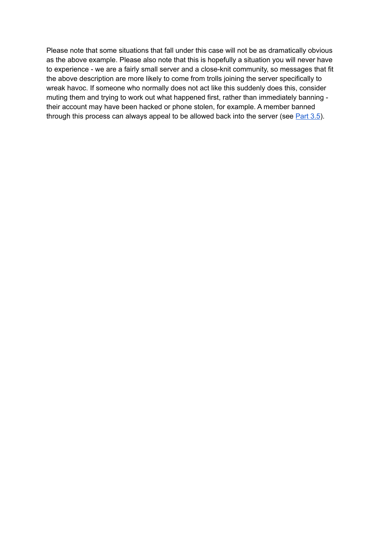Please note that some situations that fall under this case will not be as dramatically obvious as the above example. Please also note that this is hopefully a situation you will never have to experience - we are a fairly small server and a close-knit community, so messages that fit the above description are more likely to come from trolls joining the server specifically to wreak havoc. If someone who normally does not act like this suddenly does this, consider muting them and trying to work out what happened first, rather than immediately banning their account may have been hacked or phone stolen, for example. A member banned through this process can always appeal to be allowed back into the server (see  $Part\,3.5$  $Part\,3.5$ ).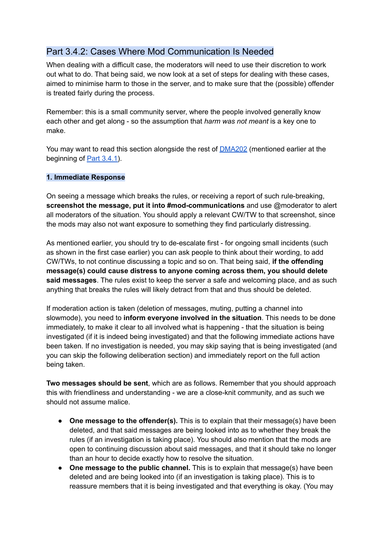### <span id="page-21-0"></span>Part 3.4.2: Cases Where Mod Communication Is Needed

When dealing with a difficult case, the moderators will need to use their discretion to work out what to do. That being said, we now look at a set of steps for dealing with these cases, aimed to minimise harm to those in the server, and to make sure that the (possible) offender is treated fairly during the process.

Remember: this is a small community server, where the people involved generally know each other and get along - so the assumption that *harm was not meant* is a key one to make.

You may want to read this section alongside the rest of **[DMA202](https://discord.com/moderation/360060483713-202:-Handling-Difficult-Scenarios)** (mentioned earlier at the beginning of Part [3.4.1\)](#page-18-1).

#### **1. Immediate Response**

On seeing a message which breaks the rules, or receiving a report of such rule-breaking, **screenshot the message, put it into #mod-communications** and use @moderator to alert all moderators of the situation. You should apply a relevant CW/TW to that screenshot, since the mods may also not want exposure to something they find particularly distressing.

As mentioned earlier, you should try to de-escalate first - for ongoing small incidents (such as shown in the first case earlier) you can ask people to think about their wording, to add CW/TWs, to not continue discussing a topic and so on. That being said, **if the offending message(s) could cause distress to anyone coming across them, you should delete said messages**. The rules exist to keep the server a safe and welcoming place, and as such anything that breaks the rules will likely detract from that and thus should be deleted.

If moderation action is taken (deletion of messages, muting, putting a channel into slowmode), you need to **inform everyone involved in the situation**. This needs to be done immediately, to make it clear to all involved what is happening - that the situation is being investigated (if it is indeed being investigated) and that the following immediate actions have been taken. If no investigation is needed, you may skip saying that is being investigated (and you can skip the following deliberation section) and immediately report on the full action being taken.

**Two messages should be sent**, which are as follows. Remember that you should approach this with friendliness and understanding - we are a close-knit community, and as such we should not assume malice.

- **One message to the offender(s).** This is to explain that their message(s) have been deleted, and that said messages are being looked into as to whether they break the rules (if an investigation is taking place). You should also mention that the mods are open to continuing discussion about said messages, and that it should take no longer than an hour to decide exactly how to resolve the situation.
- **One message to the public channel.** This is to explain that message(s) have been deleted and are being looked into (if an investigation is taking place). This is to reassure members that it is being investigated and that everything is okay. (You may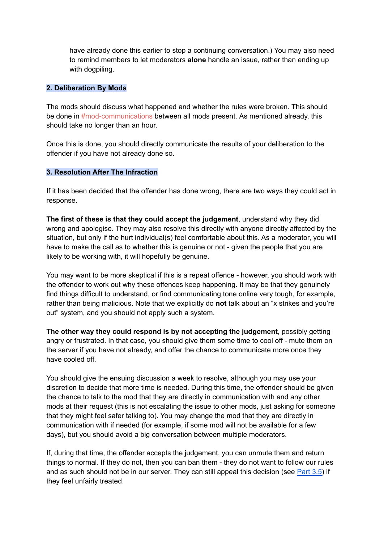have already done this earlier to stop a continuing conversation.) You may also need to remind members to let moderators **alone** handle an issue, rather than ending up with dogpiling.

#### **2. Deliberation By Mods**

The mods should discuss what happened and whether the rules were broken. This should be done in #mod-communications between all mods present. As mentioned already, this should take no longer than an hour.

Once this is done, you should directly communicate the results of your deliberation to the offender if you have not already done so.

#### **3. Resolution After The Infraction**

If it has been decided that the offender has done wrong, there are two ways they could act in response.

**The first of these is that they could accept the judgement**, understand why they did wrong and apologise. They may also resolve this directly with anyone directly affected by the situation, but only if the hurt individual(s) feel comfortable about this. As a moderator, you will have to make the call as to whether this is genuine or not - given the people that you are likely to be working with, it will hopefully be genuine.

You may want to be more skeptical if this is a repeat offence - however, you should work with the offender to work out why these offences keep happening. It may be that they genuinely find things difficult to understand, or find communicating tone online very tough, for example, rather than being malicious. Note that we explicitly do **not** talk about an "x strikes and you're out" system, and you should not apply such a system.

**The other way they could respond is by not accepting the judgement**, possibly getting angry or frustrated. In that case, you should give them some time to cool off - mute them on the server if you have not already, and offer the chance to communicate more once they have cooled off.

You should give the ensuing discussion a week to resolve, although you may use your discretion to decide that more time is needed. During this time, the offender should be given the chance to talk to the mod that they are directly in communication with and any other mods at their request (this is not escalating the issue to other mods, just asking for someone that they might feel safer talking to). You may change the mod that they are directly in communication with if needed (for example, if some mod will not be available for a few days), but you should avoid a big conversation between multiple moderators.

If, during that time, the offender accepts the judgement, you can unmute them and return things to normal. If they do not, then you can ban them - they do not want to follow our rules and as such should not be in our server. They can still appeal this decision (see [Part](#page-25-1) 3.5) if they feel unfairly treated.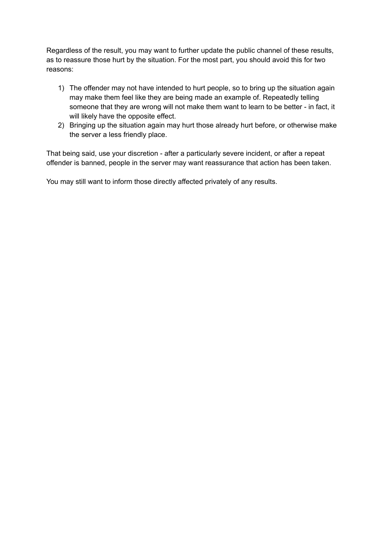Regardless of the result, you may want to further update the public channel of these results, as to reassure those hurt by the situation. For the most part, you should avoid this for two reasons:

- 1) The offender may not have intended to hurt people, so to bring up the situation again may make them feel like they are being made an example of. Repeatedly telling someone that they are wrong will not make them want to learn to be better - in fact, it will likely have the opposite effect.
- 2) Bringing up the situation again may hurt those already hurt before, or otherwise make the server a less friendly place.

That being said, use your discretion - after a particularly severe incident, or after a repeat offender is banned, people in the server may want reassurance that action has been taken.

You may still want to inform those directly affected privately of any results.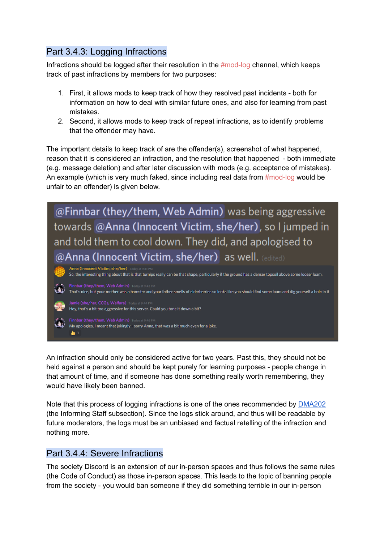### <span id="page-24-0"></span>Part 3.4.3: Logging Infractions

Infractions should be logged after their resolution in the  $\#mod$ -log channel, which keeps track of past infractions by members for two purposes:

- 1. First, it allows mods to keep track of how they resolved past incidents both for information on how to deal with similar future ones, and also for learning from past mistakes.
- 2. Second, it allows mods to keep track of repeat infractions, as to identify problems that the offender may have.

The important details to keep track of are the offender(s), screenshot of what happened, reason that it is considered an infraction, and the resolution that happened - both immediate (e.g. message deletion) and after later discussion with mods (e.g. acceptance of mistakes). An example (which is very much faked, since including real data from #mod-log would be unfair to an offender) is given below.

@Finnbar (they/them, Web Admin) was being aggressive towards @Anna (Innocent Victim, she/her), so I jumped in and told them to cool down. They did, and apologised to @Anna (Innocent Victim, she/her) as well. (edited)

Anna (Innocent Victim, she/her) So, the interesting thing about that is that turnips really can be that shape, particularly if the ground has a denser topsoil above some looser loam. That's nice, but your mother was a hamster and your father smells of elderberries so looks like you should find some loam and dig yourself a hole in it Hey, that's a bit too aggressive for this server. Could you tone it down a bit? Finnbar (they/them, Web Admin) Today at 9:46 PM My apologies, I meant that jokingly - sorry Anna, that was a bit much even for a joke.

An infraction should only be considered active for two years. Past this, they should not be held against a person and should be kept purely for learning purposes - people change in that amount of time, and if someone has done something really worth remembering, they would have likely been banned.

Note that this process of logging infractions is one of the ones recommended by [DMA202](https://discord.com/moderation/360060483713-202:-Handling-Difficult-Scenarios#Situation-Closure) (the Informing Staff subsection). Since the logs stick around, and thus will be readable by future moderators, the logs must be an unbiased and factual retelling of the infraction and nothing more.

### <span id="page-24-1"></span>Part 3.4.4: Severe Infractions

 $\bullet$ 1

The society Discord is an extension of our in-person spaces and thus follows the same rules (the Code of Conduct) as those in-person spaces. This leads to the topic of banning people from the society - you would ban someone if they did something terrible in our in-person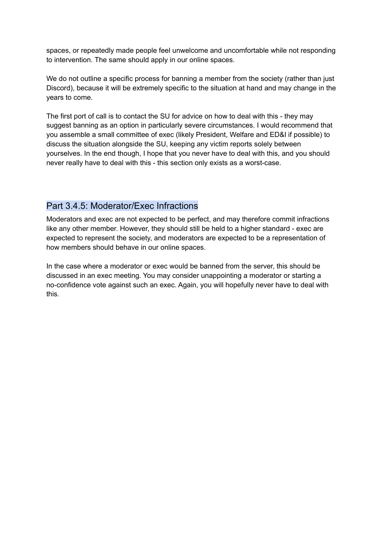spaces, or repeatedly made people feel unwelcome and uncomfortable while not responding to intervention. The same should apply in our online spaces.

We do not outline a specific process for banning a member from the society (rather than just Discord), because it will be extremely specific to the situation at hand and may change in the years to come.

The first port of call is to contact the SU for advice on how to deal with this - they may suggest banning as an option in particularly severe circumstances. I would recommend that you assemble a small committee of exec (likely President, Welfare and ED&I if possible) to discuss the situation alongside the SU, keeping any victim reports solely between yourselves. In the end though, I hope that you never have to deal with this, and you should never really have to deal with this - this section only exists as a worst-case.

### <span id="page-25-0"></span>Part 3.4.5: Moderator/Exec Infractions

Moderators and exec are not expected to be perfect, and may therefore commit infractions like any other member. However, they should still be held to a higher standard - exec are expected to represent the society, and moderators are expected to be a representation of how members should behave in our online spaces.

<span id="page-25-1"></span>In the case where a moderator or exec would be banned from the server, this should be discussed in an exec meeting. You may consider unappointing a moderator or starting a no-confidence vote against such an exec. Again, you will hopefully never have to deal with this.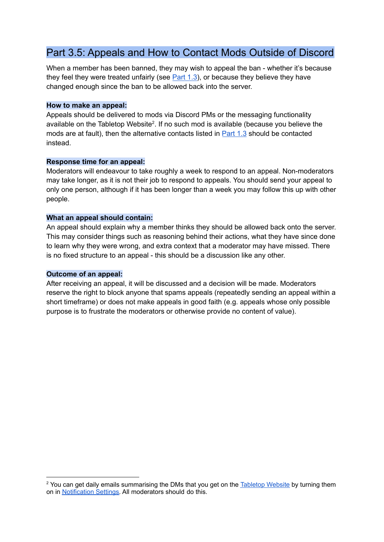## <span id="page-26-0"></span>Part 3.5: Appeals and How to Contact Mods Outside of Discord

When a member has been banned, they may wish to appeal the ban - whether it's because they feel they were treated unfairly (see [Part](#page-7-0) 1.3), or because they believe they have changed enough since the ban to be allowed back into the server.

#### **How to make an appeal:**

Appeals should be delivered to mods via Discord PMs or the messaging functionality available on the Tabletop Website<sup>2</sup>. If no such mod is available (because you believe the mods are at fault), then the alternative contacts listed in [Part](#page-7-0) 1.3 should be contacted instead.

#### **Response time for an appeal:**

Moderators will endeavour to take roughly a week to respond to an appeal. Non-moderators may take longer, as it is not their job to respond to appeals. You should send your appeal to only one person, although if it has been longer than a week you may follow this up with other people.

#### **What an appeal should contain:**

An appeal should explain why a member thinks they should be allowed back onto the server. This may consider things such as reasoning behind their actions, what they have since done to learn why they were wrong, and extra context that a moderator may have missed. There is no fixed structure to an appeal - this should be a discussion like any other.

#### **Outcome of an appeal:**

After receiving an appeal, it will be discussed and a decision will be made. Moderators reserve the right to block anyone that spams appeals (repeatedly sending an appeal within a short timeframe) or does not make appeals in good faith (e.g. appeals whose only possible purpose is to frustrate the moderators or otherwise provide no content of value).

<sup>&</sup>lt;sup>2</sup> You can get daily emails summarising the DMs that you get on the [Tabletop](https://www.warwicktabletop.co.uk/) Website by turning them on in [Notification](https://www.warwicktabletop.co.uk/notifications/preferences/) Settings. All moderators should do this.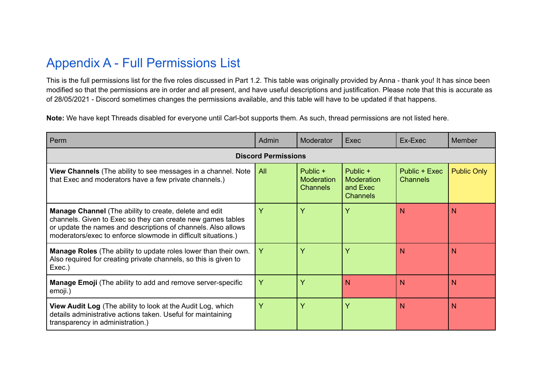# Appendix A - Full Permissions List

This is the full permissions list for the five roles discussed in Part 1.2. This table was originally provided by Anna - thank you! It has since been modified so that the permissions are in order and all present, and have useful descriptions and justification. Please note that this is accurate as of 28/05/2021 - Discord sometimes changes the permissions available, and this table will have to be updated if that happens.

**Note:** We have kept Threads disabled for everyone until Carl-bot supports them. As such, thread permissions are not listed here.

<span id="page-27-0"></span>

| Perm                                                                                                                                                                                                                                                           | Admin | <b>Moderator</b>                                 | Exec                                                         | Ex-Exec                          | Member             |  |
|----------------------------------------------------------------------------------------------------------------------------------------------------------------------------------------------------------------------------------------------------------------|-------|--------------------------------------------------|--------------------------------------------------------------|----------------------------------|--------------------|--|
| <b>Discord Permissions</b>                                                                                                                                                                                                                                     |       |                                                  |                                                              |                                  |                    |  |
| <b>View Channels</b> (The ability to see messages in a channel. Note<br>that Exec and moderators have a few private channels.)                                                                                                                                 | All   | Public +<br><b>Moderation</b><br><b>Channels</b> | Public +<br><b>Moderation</b><br>and Exec<br><b>Channels</b> | Public + Exec<br><b>Channels</b> | <b>Public Only</b> |  |
| <b>Manage Channel</b> (The ability to create, delete and edit<br>channels. Given to Exec so they can create new games tables<br>or update the names and descriptions of channels. Also allows<br>moderators/exec to enforce slowmode in difficult situations.) | Y     |                                                  |                                                              | N                                | N                  |  |
| <b>Manage Roles</b> (The ability to update roles lower than their own.<br>Also required for creating private channels, so this is given to<br>Exec.)                                                                                                           | Y     | $\checkmark$                                     |                                                              | N                                | N                  |  |
| <b>Manage Emoji</b> (The ability to add and remove server-specific<br>emoji.)                                                                                                                                                                                  | Y     | $\checkmark$                                     | N                                                            | N                                | N                  |  |
| <b>View Audit Log</b> (The ability to look at the Audit Log, which<br>details administrative actions taken. Useful for maintaining<br>transparency in administration.)                                                                                         | Y     | v                                                |                                                              | N                                | N                  |  |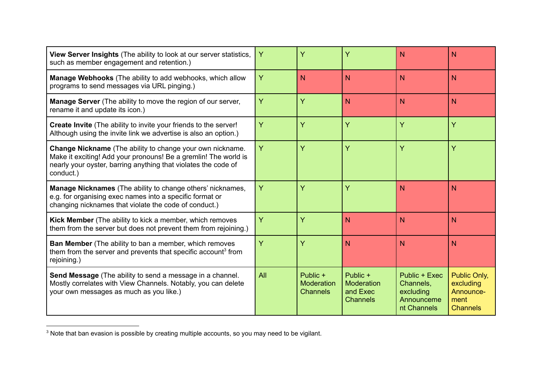| View Server Insights (The ability to look at our server statistics,<br>such as member engagement and retention.)                                                                                                   | Ÿ   | Ÿ                                         | Ÿ                                                     | N                                                                    | N                                                                 |
|--------------------------------------------------------------------------------------------------------------------------------------------------------------------------------------------------------------------|-----|-------------------------------------------|-------------------------------------------------------|----------------------------------------------------------------------|-------------------------------------------------------------------|
| Manage Webhooks (The ability to add webhooks, which allow<br>programs to send messages via URL pinging.)                                                                                                           | Y   | N                                         | N                                                     | N                                                                    | N <sub>1</sub>                                                    |
| <b>Manage Server</b> (The ability to move the region of our server,<br>rename it and update its icon.)                                                                                                             | Ÿ   | Ÿ                                         | N                                                     | N                                                                    | N <sub>1</sub>                                                    |
| Create Invite (The ability to invite your friends to the server!<br>Although using the invite link we advertise is also an option.)                                                                                | Y   | Ÿ                                         | Ÿ                                                     | Ÿ                                                                    | Ÿ                                                                 |
| <b>Change Nickname</b> (The ability to change your own nickname.<br>Make it exciting! Add your pronouns! Be a gremlin! The world is<br>nearly your oyster, barring anything that violates the code of<br>conduct.) | Y   | Ÿ                                         | Ÿ                                                     | Ÿ                                                                    | Y                                                                 |
| Manage Nicknames (The ability to change others' nicknames,<br>e.g. for organising exec names into a specific format or<br>changing nicknames that violate the code of conduct.)                                    | Ÿ   | Ÿ                                         | Ÿ                                                     | N                                                                    | N                                                                 |
| Kick Member (The ability to kick a member, which removes<br>them from the server but does not prevent them from rejoining.)                                                                                        | Y   | Ÿ                                         | $\mathsf{N}$                                          | N                                                                    | N <sub>1</sub>                                                    |
| Ban Member (The ability to ban a member, which removes<br>them from the server and prevents that specific account <sup>3</sup> from<br>rejoining.)                                                                 | Ÿ   | Ÿ                                         | N                                                     | N                                                                    | N                                                                 |
| Send Message (The ability to send a message in a channel.<br>Mostly correlates with View Channels. Notably, you can delete<br>your own messages as much as you like.)                                              | All | Public +<br>Moderation<br><b>Channels</b> | Public +<br>Moderation<br>and Exec<br><b>Channels</b> | Public + Exec<br>Channels,<br>excluding<br>Announceme<br>nt Channels | Public Only,<br>excluding<br>Announce-<br>ment<br><b>Channels</b> |

<sup>&</sup>lt;sup>3</sup> Note that ban evasion is possible by creating multiple accounts, so you may need to be vigilant.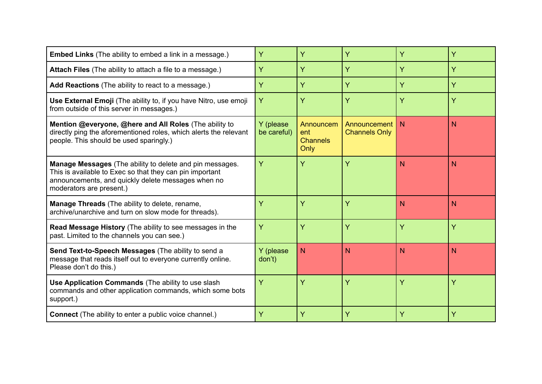| <b>Embed Links</b> (The ability to embed a link in a message.)                                                                                                                                         | Ÿ                        | Y                                           | Ÿ                                    | Ÿ | Ÿ              |
|--------------------------------------------------------------------------------------------------------------------------------------------------------------------------------------------------------|--------------------------|---------------------------------------------|--------------------------------------|---|----------------|
| Attach Files (The ability to attach a file to a message.)                                                                                                                                              | Ÿ                        | Y                                           | Ÿ                                    | Y | Ÿ              |
| Add Reactions (The ability to react to a message.)                                                                                                                                                     | Y                        | Y                                           | Y                                    | Y | Y              |
| Use External Emoji (The ability to, if you have Nitro, use emoji<br>from outside of this server in messages.)                                                                                          | Ÿ                        | Y                                           | Y                                    | Y | Ÿ              |
| Mention @everyone, @here and All Roles (The ability to<br>directly ping the aforementioned roles, which alerts the relevant<br>people. This should be used sparingly.)                                 | Y (please<br>be careful) | Announcem<br>ent<br><b>Channels</b><br>Only | Announcement<br><b>Channels Only</b> | N | N              |
| Manage Messages (The ability to delete and pin messages.<br>This is available to Exec so that they can pin important<br>announcements, and quickly delete messages when no<br>moderators are present.) | Ÿ                        | Y                                           | Y                                    | N | N              |
| <b>Manage Threads</b> (The ability to delete, rename,<br>archive/unarchive and turn on slow mode for threads).                                                                                         | Ÿ                        | Ÿ                                           | Y                                    | N | N <sub>1</sub> |
| Read Message History (The ability to see messages in the<br>past. Limited to the channels you can see.)                                                                                                | Ÿ                        | Y                                           | Ÿ                                    | Ÿ | Ÿ              |
| Send Text-to-Speech Messages (The ability to send a<br>message that reads itself out to everyone currently online.<br>Please don't do this.)                                                           | Y (please<br>don't)      | N                                           | N                                    | N | N              |
| Use Application Commands (The ability to use slash<br>commands and other application commands, which some bots<br>support.)                                                                            | Ÿ                        | Y                                           | Ÿ                                    | Ÿ | Ÿ              |
| <b>Connect</b> (The ability to enter a public voice channel.)                                                                                                                                          | Ÿ                        | Y                                           | Y                                    | Ÿ | Ÿ              |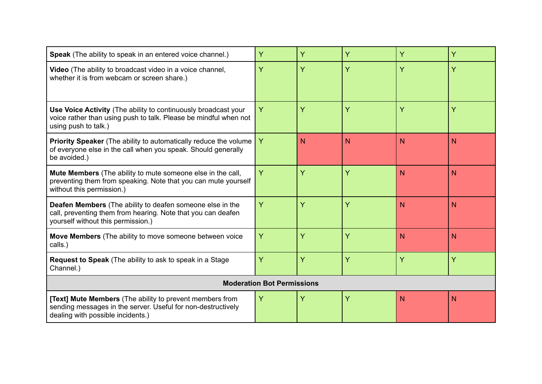| Speak (The ability to speak in an entered voice channel.)                                                                                                              | Ÿ | Ÿ | Ÿ | Y | Ÿ              |
|------------------------------------------------------------------------------------------------------------------------------------------------------------------------|---|---|---|---|----------------|
| Video (The ability to broadcast video in a voice channel,<br>whether it is from webcam or screen share.)                                                               | Y | Ÿ | Ÿ | Ÿ | Ÿ              |
| Use Voice Activity (The ability to continuously broadcast your<br>voice rather than using push to talk. Please be mindful when not<br>using push to talk.)             | Y | Ÿ | Ÿ | Ÿ | Ÿ              |
| <b>Priority Speaker</b> (The ability to automatically reduce the volume<br>of everyone else in the call when you speak. Should generally<br>be avoided.)               | Y | N | N | N | N              |
| <b>Mute Members</b> (The ability to mute someone else in the call,<br>preventing them from speaking. Note that you can mute yourself<br>without this permission.)      | Y | Y | Ÿ | N | N              |
| <b>Deafen Members</b> (The ability to deafen someone else in the<br>call, preventing them from hearing. Note that you can deafen<br>yourself without this permission.) | Y | Y | Ÿ | N | N <sub>1</sub> |
| Move Members (The ability to move someone between voice<br>calls.)                                                                                                     | Y | Y | Ÿ | N | N              |
| <b>Request to Speak</b> (The ability to ask to speak in a Stage<br>Channel.)                                                                                           | Y | Ÿ | Ÿ | Ÿ | Y              |
| <b>Moderation Bot Permissions</b>                                                                                                                                      |   |   |   |   |                |
| <b>[Text] Mute Members</b> (The ability to prevent members from<br>sending messages in the server. Useful for non-destructively<br>dealing with possible incidents.)   | Y | Y | Y | N | N <sub>1</sub> |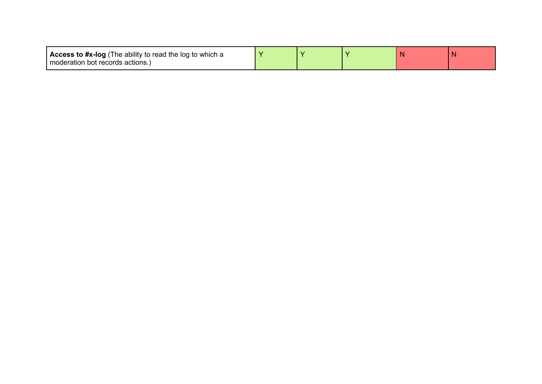| <b>Access to #x-log</b> (The ability to read the log to which a |  |  |  |
|-----------------------------------------------------------------|--|--|--|
| I moderation bot records actions.)                              |  |  |  |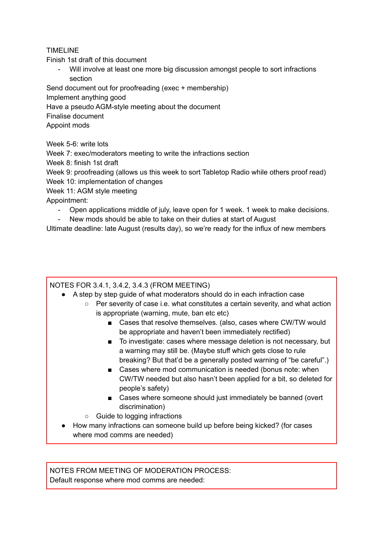#### TIMELINE

Finish 1st draft of this document

Will involve at least one more big discussion amongst people to sort infractions section

Send document out for proofreading (exec + membership)

Implement anything good

Have a pseudo AGM-style meeting about the document

Finalise document

Appoint mods

Week 5-6: write lots

Week 7: exec/moderators meeting to write the infractions section

Week 8: finish 1st draft

Week 9: proofreading (allows us this week to sort Tabletop Radio while others proof read) Week 10: implementation of changes

Week 11: AGM style meeting

Appointment:

- Open applications middle of july, leave open for 1 week. 1 week to make decisions.
- New mods should be able to take on their duties at start of August

Ultimate deadline: late August (results day), so we're ready for the influx of new members

NOTES FOR 3.4.1, 3.4.2, 3.4.3 (FROM MEETING)

- A step by step guide of what moderators should do in each infraction case
	- Per severity of case i.e. what constitutes a certain severity, and what action is appropriate (warning, mute, ban etc etc)
		- Cases that resolve themselves. (also, cases where CW/TW would be appropriate and haven't been immediately rectified)
		- To investigate: cases where message deletion is not necessary, but a warning may still be. (Maybe stuff which gets close to rule breaking? But that'd be a generally posted warning of "be careful".)
		- Cases where mod communication is needed (bonus note: when CW/TW needed but also hasn't been applied for a bit, so deleted for people's safety)
		- Cases where someone should just immediately be banned (overt discrimination)
	- Guide to logging infractions
- How many infractions can someone build up before being kicked? (for cases where mod comms are needed)

NOTES FROM MEETING OF MODERATION PROCESS: Default response where mod comms are needed: